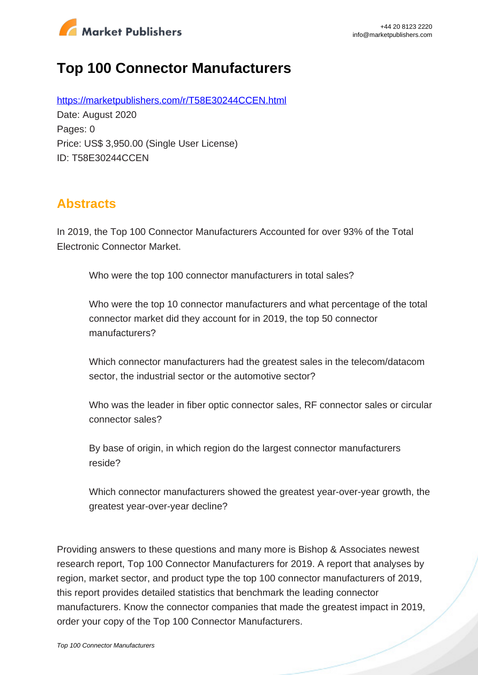

# **Top 100 Connector Manufacturers**

https://marketpublishers.com/r/T58E30244CCEN.html Date: August 2020 Pages: 0 Price: US\$ 3,950.00 (Single User License) ID: T58E30244CCEN

## **Abstracts**

In 2019, the Top 100 Connector Manufacturers Accounted for over 93% of the Total Electronic Connector Market.

Who were the top 100 connector manufacturers in total sales?

Who were the top 10 connector manufacturers and what percentage of the total connector market did they account for in 2019, the top 50 connector manufacturers?

Which connector manufacturers had the greatest sales in the telecom/datacom sector, the industrial sector or the automotive sector?

Who was the leader in fiber optic connector sales, RF connector sales or circular connector sales?

By base of origin, in which region do the largest connector manufacturers reside?

Which connector manufacturers showed the greatest year-over-year growth, the greatest year-over-year decline?

Providing answers to these questions and many more is Bishop & Associates newest research report, Top 100 Connector Manufacturers for 2019. A report that analyses by region, market sector, and product type the top 100 connector manufacturers of 2019, this report provides detailed statistics that benchmark the leading connector manufacturers. Know the connector companies that made the greatest impact in 2019, order your copy of the Top 100 Connector Manufacturers.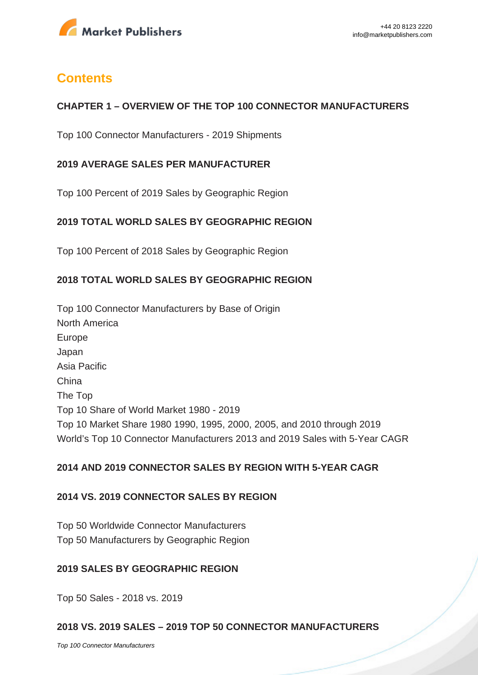

## **Contents**

## **CHAPTER 1 – OVERVIEW OF THE TOP 100 CONNECTOR MANUFACTURERS**

Top 100 Connector Manufacturers - 2019 Shipments

## **2019 AVERAGE SALES PER MANUFACTURER**

Top 100 Percent of 2019 Sales by Geographic Region

## **2019 TOTAL WORLD SALES BY GEOGRAPHIC REGION**

Top 100 Percent of 2018 Sales by Geographic Region

## **2018 TOTAL WORLD SALES BY GEOGRAPHIC REGION**

Top 100 Connector Manufacturers by Base of Origin North America Europe Japan Asia Pacific China The Top Top 10 Share of World Market 1980 - 2019 Top 10 Market Share 1980 1990, 1995, 2000, 2005, and 2010 through 2019 World's Top 10 Connector Manufacturers 2013 and 2019 Sales with 5-Year CAGR

## **2014 AND 2019 CONNECTOR SALES BY REGION WITH 5-YEAR CAGR**

## **2014 VS. 2019 CONNECTOR SALES BY REGION**

Top 50 Worldwide Connector Manufacturers Top 50 Manufacturers by Geographic Region

#### **2019 SALES BY GEOGRAPHIC REGION**

Top 50 Sales - 2018 vs. 2019

## **2018 VS. 2019 SALES – 2019 TOP 50 CONNECTOR MANUFACTURERS**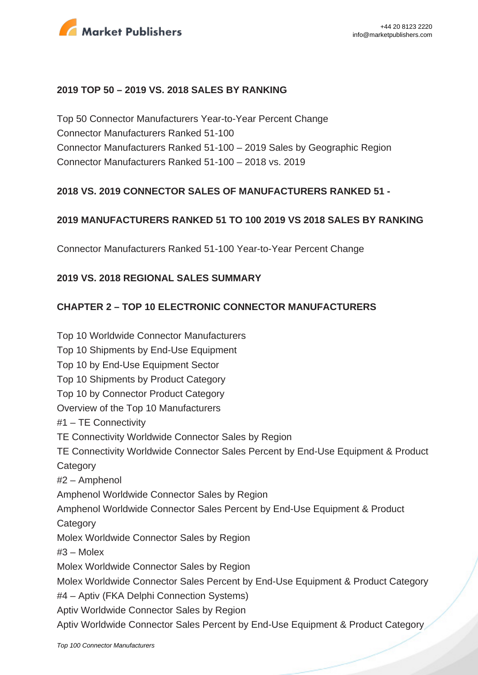

#### **2019 TOP 50 – 2019 VS. 2018 SALES BY RANKING**

Top 50 Connector Manufacturers Year-to-Year Percent Change Connector Manufacturers Ranked 51-100 Connector Manufacturers Ranked 51-100 – 2019 Sales by Geographic Region Connector Manufacturers Ranked 51-100 – 2018 vs. 2019

## **2018 VS. 2019 CONNECTOR SALES OF MANUFACTURERS RANKED 51 -**

#### **2019 MANUFACTURERS RANKED 51 TO 100 2019 VS 2018 SALES BY RANKING**

Connector Manufacturers Ranked 51-100 Year-to-Year Percent Change

## **2019 VS. 2018 REGIONAL SALES SUMMARY**

#### **CHAPTER 2 – TOP 10 ELECTRONIC CONNECTOR MANUFACTURERS**

Top 10 Worldwide Connector Manufacturers Top 10 Shipments by End-Use Equipment Top 10 by End-Use Equipment Sector Top 10 Shipments by Product Category Top 10 by Connector Product Category Overview of the Top 10 Manufacturers #1 – TE Connectivity TE Connectivity Worldwide Connector Sales by Region TE Connectivity Worldwide Connector Sales Percent by End-Use Equipment & Product **Category** #2 – Amphenol Amphenol Worldwide Connector Sales by Region Amphenol Worldwide Connector Sales Percent by End-Use Equipment & Product **Category** Molex Worldwide Connector Sales by Region #3 – Molex Molex Worldwide Connector Sales by Region Molex Worldwide Connector Sales Percent by End-Use Equipment & Product Category #4 – Aptiv (FKA Delphi Connection Systems) Aptiv Worldwide Connector Sales by Region Aptiv Worldwide Connector Sales Percent by End-Use Equipment & Product Category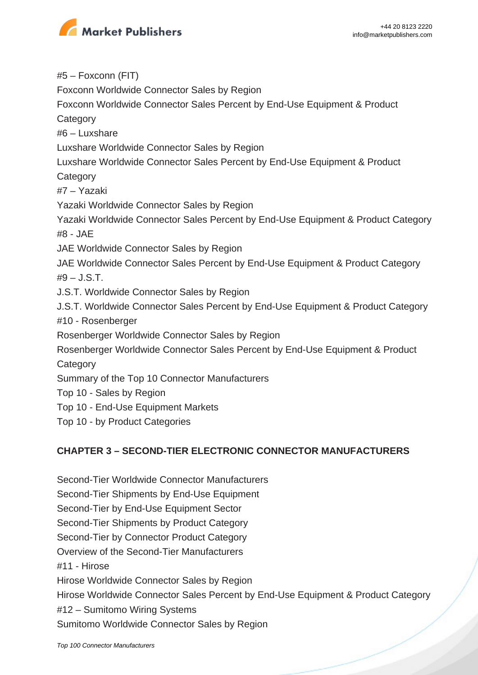

#5 – Foxconn (FIT) Foxconn Worldwide Connector Sales by Region Foxconn Worldwide Connector Sales Percent by End-Use Equipment & Product **Category** #6 – Luxshare Luxshare Worldwide Connector Sales by Region Luxshare Worldwide Connector Sales Percent by End-Use Equipment & Product **Category** #7 – Yazaki Yazaki Worldwide Connector Sales by Region Yazaki Worldwide Connector Sales Percent by End-Use Equipment & Product Category #8 - JAE JAE Worldwide Connector Sales by Region JAE Worldwide Connector Sales Percent by End-Use Equipment & Product Category  $#9 - J.S.T.$ J.S.T. Worldwide Connector Sales by Region J.S.T. Worldwide Connector Sales Percent by End-Use Equipment & Product Category #10 - Rosenberger Rosenberger Worldwide Connector Sales by Region Rosenberger Worldwide Connector Sales Percent by End-Use Equipment & Product **Category** Summary of the Top 10 Connector Manufacturers Top 10 - Sales by Region Top 10 - End-Use Equipment Markets Top 10 - by Product Categories

## **CHAPTER 3 – SECOND-TIER ELECTRONIC CONNECTOR MANUFACTURERS**

Second-Tier Worldwide Connector Manufacturers Second-Tier Shipments by End-Use Equipment Second-Tier by End-Use Equipment Sector Second-Tier Shipments by Product Category Second-Tier by Connector Product Category Overview of the Second-Tier Manufacturers #11 - Hirose Hirose Worldwide Connector Sales by Region Hirose Worldwide Connector Sales Percent by End-Use Equipment & Product Category #12 – Sumitomo Wiring Systems Sumitomo Worldwide Connector Sales by Region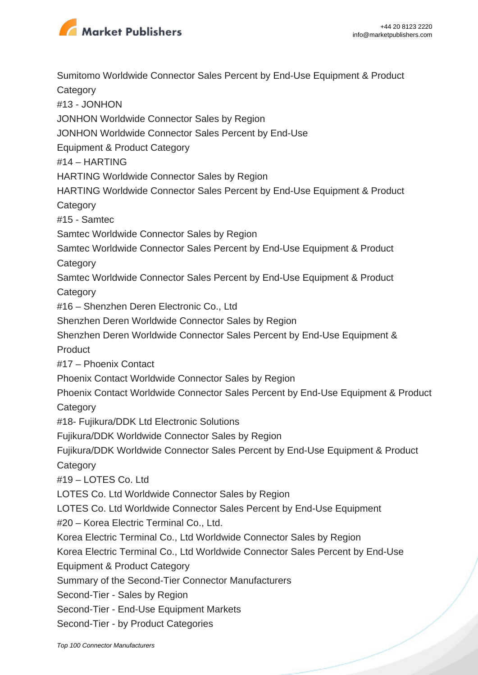

Sumitomo Worldwide Connector Sales Percent by End-Use Equipment & Product **Category** #13 - JONHON JONHON Worldwide Connector Sales by Region JONHON Worldwide Connector Sales Percent by End-Use Equipment & Product Category #14 – HARTING HARTING Worldwide Connector Sales by Region HARTING Worldwide Connector Sales Percent by End-Use Equipment & Product **Category** #15 - Samtec Samtec Worldwide Connector Sales by Region Samtec Worldwide Connector Sales Percent by End-Use Equipment & Product **Category** Samtec Worldwide Connector Sales Percent by End-Use Equipment & Product **Category** #16 – Shenzhen Deren Electronic Co., Ltd Shenzhen Deren Worldwide Connector Sales by Region Shenzhen Deren Worldwide Connector Sales Percent by End-Use Equipment & **Product** #17 – Phoenix Contact Phoenix Contact Worldwide Connector Sales by Region Phoenix Contact Worldwide Connector Sales Percent by End-Use Equipment & Product **Category** #18- Fujikura/DDK Ltd Electronic Solutions Fujikura/DDK Worldwide Connector Sales by Region Fujikura/DDK Worldwide Connector Sales Percent by End-Use Equipment & Product **Category** #19 – LOTES Co. Ltd LOTES Co. Ltd Worldwide Connector Sales by Region LOTES Co. Ltd Worldwide Connector Sales Percent by End-Use Equipment #20 – Korea Electric Terminal Co., Ltd. Korea Electric Terminal Co., Ltd Worldwide Connector Sales by Region Korea Electric Terminal Co., Ltd Worldwide Connector Sales Percent by End-Use Equipment & Product Category Summary of the Second-Tier Connector Manufacturers Second-Tier - Sales by Region Second-Tier - End-Use Equipment Markets Second-Tier - by Product Categories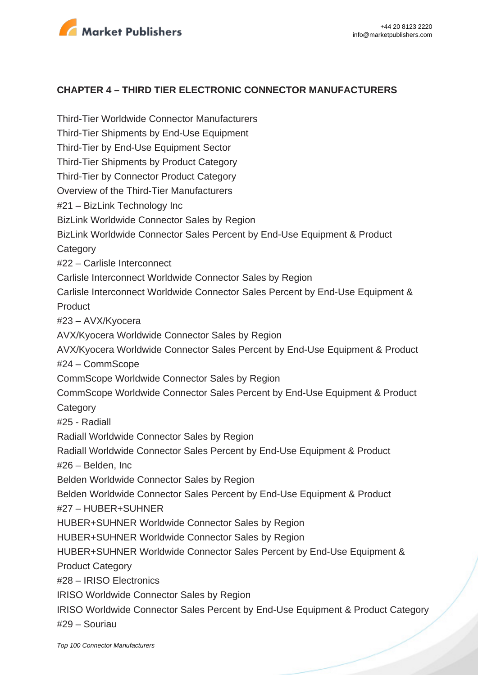

## **CHAPTER 4 – THIRD TIER ELECTRONIC CONNECTOR MANUFACTURERS**

Third-Tier Worldwide Connector Manufacturers Third-Tier Shipments by End-Use Equipment Third-Tier by End-Use Equipment Sector Third-Tier Shipments by Product Category Third-Tier by Connector Product Category Overview of the Third-Tier Manufacturers #21 – BizLink Technology Inc BizLink Worldwide Connector Sales by Region BizLink Worldwide Connector Sales Percent by End-Use Equipment & Product **Category** #22 – Carlisle Interconnect Carlisle Interconnect Worldwide Connector Sales by Region Carlisle Interconnect Worldwide Connector Sales Percent by End-Use Equipment & **Product** #23 – AVX/Kyocera AVX/Kyocera Worldwide Connector Sales by Region AVX/Kyocera Worldwide Connector Sales Percent by End-Use Equipment & Product #24 – CommScope CommScope Worldwide Connector Sales by Region CommScope Worldwide Connector Sales Percent by End-Use Equipment & Product **Category** #25 - Radiall Radiall Worldwide Connector Sales by Region Radiall Worldwide Connector Sales Percent by End-Use Equipment & Product #26 – Belden, Inc Belden Worldwide Connector Sales by Region Belden Worldwide Connector Sales Percent by End-Use Equipment & Product #27 – HUBER+SUHNER HUBER+SUHNER Worldwide Connector Sales by Region HUBER+SUHNER Worldwide Connector Sales by Region HUBER+SUHNER Worldwide Connector Sales Percent by End-Use Equipment & Product Category #28 – IRISO Electronics IRISO Worldwide Connector Sales by Region IRISO Worldwide Connector Sales Percent by End-Use Equipment & Product Category #29 – Souriau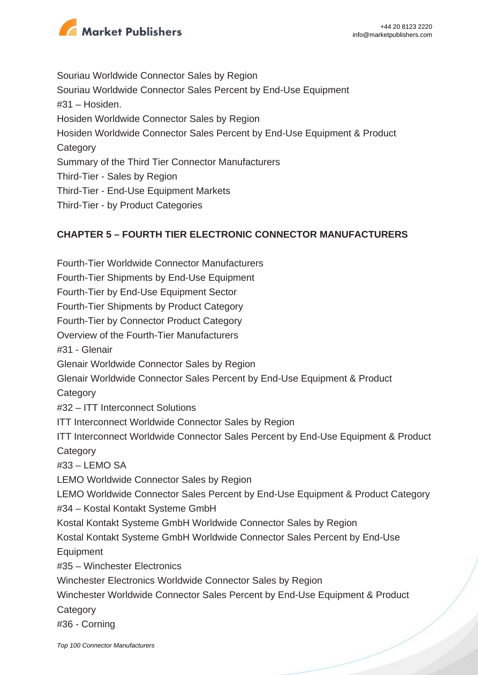

Souriau Worldwide Connector Sales by Region Souriau Worldwide Connector Sales Percent by End-Use Equipment #31 – Hosiden. Hosiden Worldwide Connector Sales by Region Hosiden Worldwide Connector Sales Percent by End-Use Equipment & Product **Category** Summary of the Third Tier Connector Manufacturers Third-Tier - Sales by Region Third-Tier - End-Use Equipment Markets Third-Tier - by Product Categories

## **CHAPTER 5 – FOURTH TIER ELECTRONIC CONNECTOR MANUFACTURERS**

Fourth-Tier Worldwide Connector Manufacturers Fourth-Tier Shipments by End-Use Equipment Fourth-Tier by End-Use Equipment Sector Fourth-Tier Shipments by Product Category Fourth-Tier by Connector Product Category Overview of the Fourth-Tier Manufacturers #31 - Glenair Glenair Worldwide Connector Sales by Region Glenair Worldwide Connector Sales Percent by End-Use Equipment & Product **Category** #32 – ITT Interconnect Solutions ITT Interconnect Worldwide Connector Sales by Region ITT Interconnect Worldwide Connector Sales Percent by End-Use Equipment & Product **Category** #33 – LEMO SA LEMO Worldwide Connector Sales by Region LEMO Worldwide Connector Sales Percent by End-Use Equipment & Product Category #34 – Kostal Kontakt Systeme GmbH Kostal Kontakt Systeme GmbH Worldwide Connector Sales by Region Kostal Kontakt Systeme GmbH Worldwide Connector Sales Percent by End-Use Equipment #35 – Winchester Electronics Winchester Electronics Worldwide Connector Sales by Region Winchester Worldwide Connector Sales Percent by End-Use Equipment & Product **Category** #36 - Corning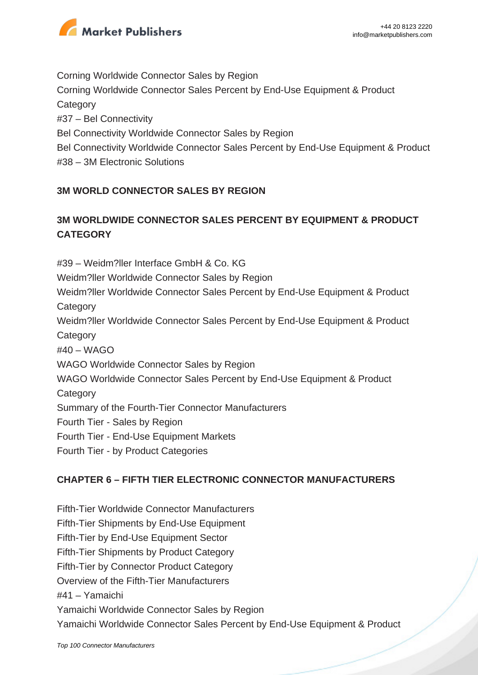

Corning Worldwide Connector Sales by Region Corning Worldwide Connector Sales Percent by End-Use Equipment & Product **Category** #37 – Bel Connectivity Bel Connectivity Worldwide Connector Sales by Region Bel Connectivity Worldwide Connector Sales Percent by End-Use Equipment & Product #38 – 3M Electronic Solutions

## **3M WORLD CONNECTOR SALES BY REGION**

## **3M WORLDWIDE CONNECTOR SALES PERCENT BY EQUIPMENT & PRODUCT CATEGORY**

#39 – Weidm?ller Interface GmbH & Co. KG Weidm?ller Worldwide Connector Sales by Region Weidm?ller Worldwide Connector Sales Percent by End-Use Equipment & Product **Category** Weidm?ller Worldwide Connector Sales Percent by End-Use Equipment & Product **Category** #40 – WAGO WAGO Worldwide Connector Sales by Region WAGO Worldwide Connector Sales Percent by End-Use Equipment & Product **Category** Summary of the Fourth-Tier Connector Manufacturers Fourth Tier - Sales by Region Fourth Tier - End-Use Equipment Markets Fourth Tier - by Product Categories

## **CHAPTER 6 – FIFTH TIER ELECTRONIC CONNECTOR MANUFACTURERS**

Fifth-Tier Worldwide Connector Manufacturers Fifth-Tier Shipments by End-Use Equipment Fifth-Tier by End-Use Equipment Sector Fifth-Tier Shipments by Product Category Fifth-Tier by Connector Product Category Overview of the Fifth-Tier Manufacturers #41 – Yamaichi Yamaichi Worldwide Connector Sales by Region Yamaichi Worldwide Connector Sales Percent by End-Use Equipment & Product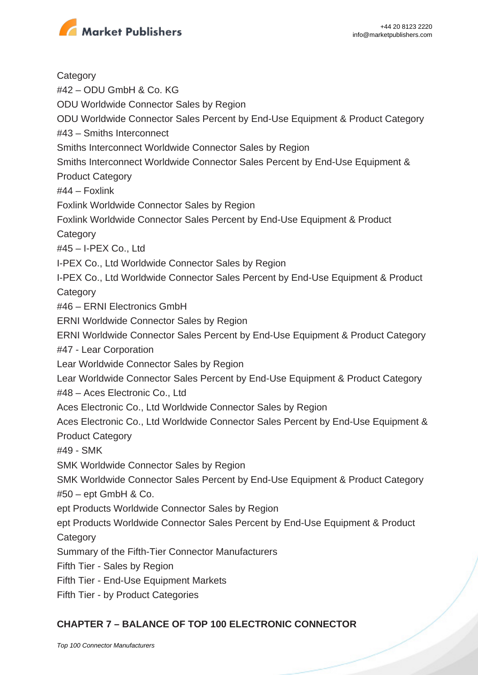

**Category** #42 – ODU GmbH & Co. KG ODU Worldwide Connector Sales by Region ODU Worldwide Connector Sales Percent by End-Use Equipment & Product Category #43 – Smiths Interconnect Smiths Interconnect Worldwide Connector Sales by Region Smiths Interconnect Worldwide Connector Sales Percent by End-Use Equipment & Product Category #44 – Foxlink Foxlink Worldwide Connector Sales by Region Foxlink Worldwide Connector Sales Percent by End-Use Equipment & Product **Category** #45 – I-PEX Co., Ltd I-PEX Co., Ltd Worldwide Connector Sales by Region I-PEX Co., Ltd Worldwide Connector Sales Percent by End-Use Equipment & Product **Category** #46 – ERNI Electronics GmbH ERNI Worldwide Connector Sales by Region ERNI Worldwide Connector Sales Percent by End-Use Equipment & Product Category #47 - Lear Corporation Lear Worldwide Connector Sales by Region Lear Worldwide Connector Sales Percent by End-Use Equipment & Product Category #48 – Aces Electronic Co., Ltd Aces Electronic Co., Ltd Worldwide Connector Sales by Region Aces Electronic Co., Ltd Worldwide Connector Sales Percent by End-Use Equipment & Product Category #49 - SMK SMK Worldwide Connector Sales by Region SMK Worldwide Connector Sales Percent by End-Use Equipment & Product Category #50 – ept GmbH & Co. ept Products Worldwide Connector Sales by Region ept Products Worldwide Connector Sales Percent by End-Use Equipment & Product **Category** Summary of the Fifth-Tier Connector Manufacturers Fifth Tier - Sales by Region Fifth Tier - End-Use Equipment Markets Fifth Tier - by Product Categories

## **CHAPTER 7 – BALANCE OF TOP 100 ELECTRONIC CONNECTOR**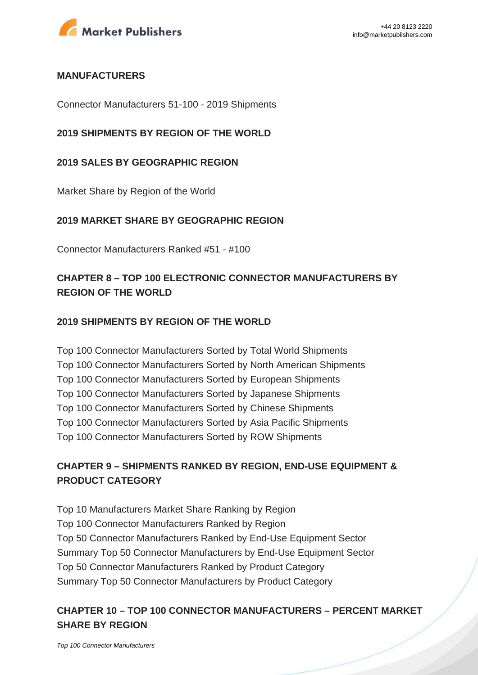

#### **MANUFACTURERS**

Connector Manufacturers 51-100 - 2019 Shipments

## **2019 SHIPMENTS BY REGION OF THE WORLD**

#### **2019 SALES BY GEOGRAPHIC REGION**

Market Share by Region of the World

#### **2019 MARKET SHARE BY GEOGRAPHIC REGION**

Connector Manufacturers Ranked #51 - #100

## **CHAPTER 8 – TOP 100 ELECTRONIC CONNECTOR MANUFACTURERS BY REGION OF THE WORLD**

#### **2019 SHIPMENTS BY REGION OF THE WORLD**

Top 100 Connector Manufacturers Sorted by Total World Shipments Top 100 Connector Manufacturers Sorted by North American Shipments Top 100 Connector Manufacturers Sorted by European Shipments Top 100 Connector Manufacturers Sorted by Japanese Shipments Top 100 Connector Manufacturers Sorted by Chinese Shipments Top 100 Connector Manufacturers Sorted by Asia Pacific Shipments Top 100 Connector Manufacturers Sorted by ROW Shipments

## **CHAPTER 9 – SHIPMENTS RANKED BY REGION, END-USE EQUIPMENT & PRODUCT CATEGORY**

Top 10 Manufacturers Market Share Ranking by Region Top 100 Connector Manufacturers Ranked by Region Top 50 Connector Manufacturers Ranked by End-Use Equipment Sector Summary Top 50 Connector Manufacturers by End-Use Equipment Sector Top 50 Connector Manufacturers Ranked by Product Category Summary Top 50 Connector Manufacturers by Product Category

## **CHAPTER 10 – TOP 100 CONNECTOR MANUFACTURERS – PERCENT MARKET SHARE BY REGION**

[Top 100 Connector Manufacturers](https://marketpublishers.com/report/hardware/networking_hardware/top-100-connector-manufacturers.html)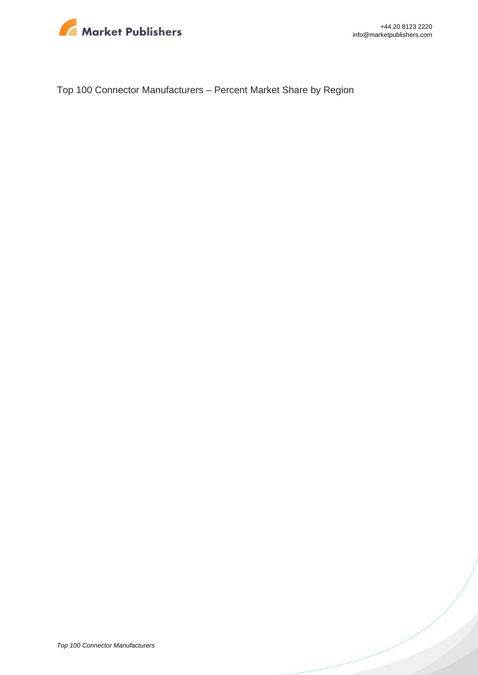

Top 100 Connector Manufacturers – Percent Market Share by Region